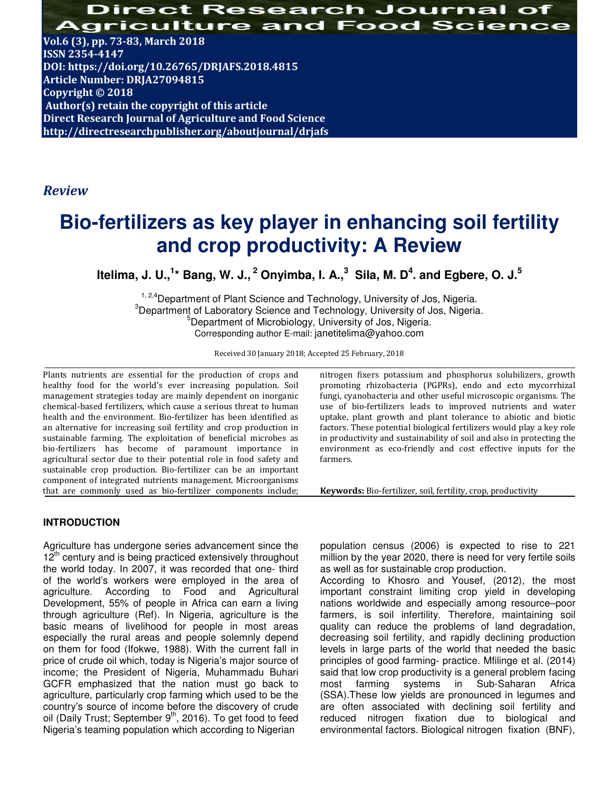Direct Research Journal **Agriculture and** Food Science

**Vol.6 (3), pp. 73-83, March 2018 ISSN 2354-4147 DOI: https://doi.org/10.26765/DRJAFS.2018.4815 Article Number: DRJA27094815 Copyright © 2018 Author(s) retain the copyright of this article Direct Research Journal of Agriculture and Food Science http://directresearchpublisher.org/aboutjournal/drjafs**

## *Review*

# **Bio-fertilizers as key player in enhancing soil fertility and crop productivity: A Review**

**Itelima, J. U.,<sup>1</sup> \* Bang, W. J.,<sup>2</sup> Onyimba, I. A.,<sup>3</sup> Sila, M. D<sup>4</sup> . and Egbere, O. J.<sup>5</sup>**

<sup>1, 2,4</sup>Department of Plant Science and Technology, University of Jos, Nigeria. <sup>3</sup>Department of Laboratory Science and Technology, University of Jos, Nigeria. <sup>5</sup>Department of Microbiology, University of Jos, Nigeria. Corresponding author E-mail: janetitelima@yahoo.com

Received 30 January 2018; Accepted 25 February, 2018

Plants nutrients are essential for the production of crops and healthy food for the world's ever increasing population. Soil management strategies today are mainly dependent on inorganic chemical-based fertilizers, which cause a serious threat to human health and the environment. Bio-fertilizer has been identified as an alternative for increasing soil fertility and crop production in sustainable farming. The exploitation of beneficial microbes as bio-fertilizers has become of paramount importance in agricultural sector due to their potential role in food safety and sustainable crop production. Bio-fertilizer can be an important component of integrated nutrients management. Microorganisms that are commonly used as bio-fertilizer components include;

**INTRODUCTION** 

Agriculture has undergone series advancement since the  $12<sup>th</sup>$  century and is being practiced extensively throughout the world today. In 2007, it was recorded that one- third of the world's workers were employed in the area of agriculture. According to Food and Agricultural Development, 55% of people in Africa can earn a living through agriculture (Ref). In Nigeria, agriculture is the basic means of livelihood for people in most areas especially the rural areas and people solemnly depend on them for food (Ifokwe, 1988). With the current fall in price of crude oil which, today is Nigeria's major source of income; the President of Nigeria, Muhammadu Buhari GCFR emphasized that the nation must go back to agriculture, particularly crop farming which used to be the country's source of income before the discovery of crude oil (Daily Trust; September  $9<sup>th</sup>$ , 2016). To get food to feed Nigeria's teaming population which according to Nigerian

nitrogen fixers potassium and phosphorus solubilizers, growth promoting rhizobacteria (PGPRs), endo and ecto mycorrhizal fungi, cyanobacteria and other useful microscopic organisms. The use of bio-fertilizers leads to improved nutrients and water uptake, plant growth and plant tolerance to abiotic and biotic factors. These potential biological fertilizers would play a key role in productivity and sustainability of soil and also in protecting the environment as eco-friendly and cost effective inputs for the farmers.

**Keywords:** Bio-fertilizer, soil, fertility, crop, productivity

population census (2006) is expected to rise to 221 million by the year 2020, there is need for very fertile soils as well as for sustainable crop production.

According to Khosro and Yousef, (2012), the most important constraint limiting crop yield in developing nations worldwide and especially among resource–poor farmers, is soil infertility. Therefore, maintaining soil quality can reduce the problems of land degradation, decreasing soil fertility, and rapidly declining production levels in large parts of the world that needed the basic principles of good farming- practice. Mfilinge et al. (2014) said that low crop productivity is a general problem facing most farming systems in Sub-Saharan Africa (SSA).These low yields are pronounced in legumes and are often associated with declining soil fertility and reduced nitrogen fixation due to biological and environmental factors. Biological nitrogen fixation (BNF),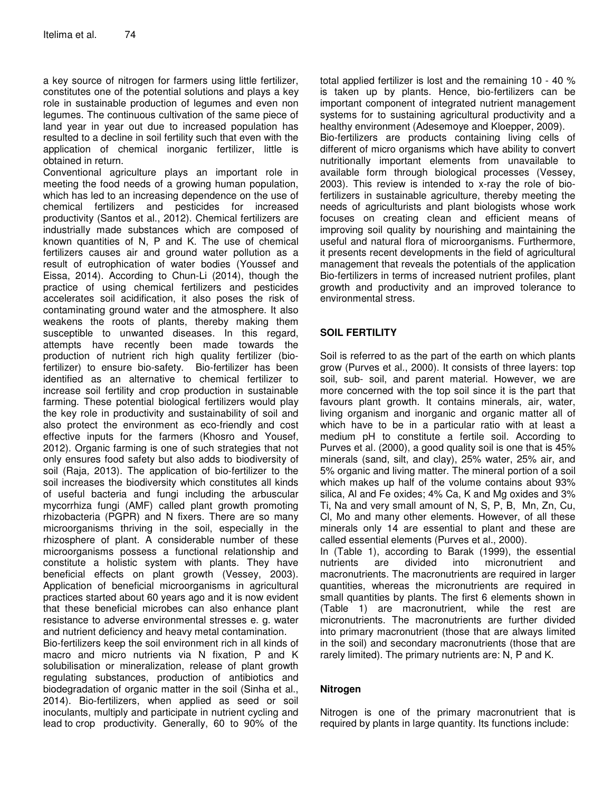a key source of nitrogen for farmers using little fertilizer, constitutes one of the potential solutions and plays a key role in sustainable production of legumes and even non legumes. The continuous cultivation of the same piece of land year in year out due to increased population has resulted to a decline in soil fertility such that even with the application of chemical inorganic fertilizer, little is obtained in return.

Conventional agriculture plays an important role in meeting the food needs of a growing human population, which has led to an increasing dependence on the use of chemical fertilizers and pesticides for increased productivity (Santos et al., 2012). Chemical fertilizers are industrially made substances which are composed of known quantities of N, P and K. The use of chemical fertilizers causes air and ground water pollution as a result of eutrophication of water bodies (Youssef and Eissa, 2014). According to Chun-Li (2014), though the practice of using chemical fertilizers and pesticides accelerates soil acidification, it also poses the risk of contaminating ground water and the atmosphere. It also weakens the roots of plants, thereby making them susceptible to unwanted diseases. In this regard, attempts have recently been made towards the production of nutrient rich high quality fertilizer (biofertilizer) to ensure bio-safety. Bio-fertilizer has been identified as an alternative to chemical fertilizer to increase soil fertility and crop production in sustainable farming. These potential biological fertilizers would play the key role in productivity and sustainability of soil and also protect the environment as eco-friendly and cost effective inputs for the farmers (Khosro and Yousef, 2012). Organic farming is one of such strategies that not only ensures food safety but also adds to biodiversity of soil (Raja, 2013). The application of bio-fertilizer to the soil increases the biodiversity which constitutes all kinds of useful bacteria and fungi including the arbuscular mycorrhiza fungi (AMF) called plant growth promoting rhizobacteria (PGPR) and N fixers. There are so many microorganisms thriving in the soil, especially in the rhizosphere of plant. A considerable number of these microorganisms possess a functional relationship and constitute a holistic system with plants. They have beneficial effects on plant growth (Vessey, 2003). Application of beneficial microorganisms in agricultural practices started about 60 years ago and it is now evident that these beneficial microbes can also enhance plant resistance to adverse environmental stresses e. g. water and nutrient deficiency and heavy metal contamination.

Bio-fertilizers keep the soil environment rich in all kinds of macro and micro nutrients via N fixation, P and K solubilisation or mineralization, release of plant growth regulating substances, production of antibiotics and biodegradation of organic matter in the soil (Sinha et al., 2014). Bio-fertilizers, when applied as seed or soil inoculants, multiply and participate in nutrient cycling and lead to crop productivity. Generally, 60 to 90% of the

total applied fertilizer is lost and the remaining 10 - 40 % is taken up by plants. Hence, bio-fertilizers can be important component of integrated nutrient management systems for to sustaining agricultural productivity and a healthy environment (Adesemoye and Kloepper, 2009). Bio-fertilizers are products containing living cells of different of micro organisms which have ability to convert nutritionally important elements from unavailable to available form through biological processes (Vessey, 2003). This review is intended to x-ray the role of biofertilizers in sustainable agriculture, thereby meeting the needs of agriculturists and plant biologists whose work focuses on creating clean and efficient means of improving soil quality by nourishing and maintaining the useful and natural flora of microorganisms. Furthermore, it presents recent developments in the field of agricultural management that reveals the potentials of the application Bio-fertilizers in terms of increased nutrient profiles, plant growth and productivity and an improved tolerance to environmental stress.

## **SOIL FERTILITY**

Soil is referred to as the part of the earth on which plants grow (Purves et al., 2000). It consists of three layers: top soil, sub- soil, and parent material. However, we are more concerned with the top soil since it is the part that favours plant growth. It contains minerals, air, water, living organism and inorganic and organic matter all of which have to be in a particular ratio with at least a medium pH to constitute a fertile soil. According to Purves et al. (2000), a good quality soil is one that is 45% minerals (sand, silt, and clay), 25% water, 25% air, and 5% organic and living matter. The mineral portion of a soil which makes up half of the volume contains about 93% silica, Al and Fe oxides; 4% Ca, K and Mg oxides and 3% Ti, Na and very small amount of N, S, P, B, Mn, Zn, Cu, Cl, Mo and many other elements. However, of all these minerals only 14 are essential to plant and these are called essential elements (Purves et al., 2000).

In (Table 1), according to Barak (1999), the essential nutrients are divided into micronutrient and macronutrients. The macronutrients are required in larger quantities, whereas the micronutrients are required in small quantities by plants. The first 6 elements shown in (Table 1) are macronutrient, while the rest are micronutrients. The macronutrients are further divided into primary macronutrient (those that are always limited in the soil) and secondary macronutrients (those that are rarely limited). The primary nutrients are: N, P and K.

## **Nitrogen**

Nitrogen is one of the primary macronutrient that is required by plants in large quantity. Its functions include: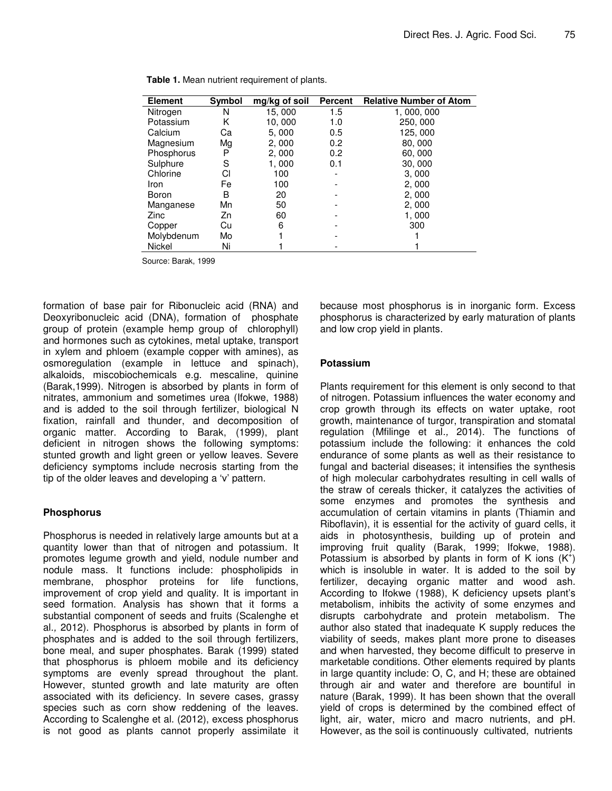| <b>Element</b> | <b>Symbol</b> | mg/kg of soil | <b>Percent</b> | <b>Relative Number of Atom</b> |
|----------------|---------------|---------------|----------------|--------------------------------|
| Nitrogen       | N             | 15,000        | 1.5            | 1, 000, 000                    |
| Potassium      | Κ             | 10,000        | 1.0            | 250, 000                       |
| Calcium        | Сa            | 5,000         | 0.5            | 125,000                        |
| Magnesium      | Mg            | 2,000         | 0.2            | 80,000                         |
| Phosphorus     | P             | 2,000         | 0.2            | 60,000                         |
| Sulphure       | S             | 1,000         | 0.1            | 30,000                         |
| Chlorine       | СI            | 100           |                | 3,000                          |
| Iron           | Fe            | 100           |                | 2,000                          |
| Boron          | В             | 20            |                | 2,000                          |
| Manganese      | Mn            | 50            |                | 2,000                          |
| Zinc           | Zn            | 60            |                | 1,000                          |
| Copper         | Cu            | 6             |                | 300                            |
| Molybdenum     | Mo            |               |                |                                |
| <b>Nickel</b>  | Ni            |               |                |                                |

**Table 1.** Mean nutrient requirement of plants.

Source: Barak, 1999

formation of base pair for Ribonucleic acid (RNA) and Deoxyribonucleic acid (DNA), formation of phosphate group of protein (example hemp group of chlorophyll) and hormones such as cytokines, metal uptake, transport in xylem and phloem (example copper with amines), as osmoregulation (example in lettuce and spinach), alkaloids, miscobiochemicals e.g. mescaline, quinine (Barak,1999). Nitrogen is absorbed by plants in form of nitrates, ammonium and sometimes urea (Ifokwe, 1988) and is added to the soil through fertilizer, biological N fixation, rainfall and thunder, and decomposition of organic matter. According to Barak, (1999), plant deficient in nitrogen shows the following symptoms: stunted growth and light green or yellow leaves. Severe deficiency symptoms include necrosis starting from the tip of the older leaves and developing a 'v' pattern.

#### **Phosphorus**

Phosphorus is needed in relatively large amounts but at a quantity lower than that of nitrogen and potassium. It promotes legume growth and yield, nodule number and nodule mass. It functions include: phospholipids in membrane, phosphor proteins for life functions, improvement of crop yield and quality. It is important in seed formation. Analysis has shown that it forms a substantial component of seeds and fruits (Scalenghe et al., 2012). Phosphorus is absorbed by plants in form of phosphates and is added to the soil through fertilizers, bone meal, and super phosphates. Barak (1999) stated that phosphorus is phloem mobile and its deficiency symptoms are evenly spread throughout the plant. However, stunted growth and late maturity are often associated with its deficiency. In severe cases, grassy species such as corn show reddening of the leaves. According to Scalenghe et al. (2012), excess phosphorus is not good as plants cannot properly assimilate it because most phosphorus is in inorganic form. Excess phosphorus is characterized by early maturation of plants and low crop yield in plants.

#### **Potassium**

Plants requirement for this element is only second to that of nitrogen. Potassium influences the water economy and crop growth through its effects on water uptake, root growth, maintenance of turgor, transpiration and stomatal regulation (Mfilinge et al., 2014). The functions of potassium include the following: it enhances the cold endurance of some plants as well as their resistance to fungal and bacterial diseases; it intensifies the synthesis of high molecular carbohydrates resulting in cell walls of the straw of cereals thicker, it catalyzes the activities of some enzymes and promotes the synthesis and accumulation of certain vitamins in plants (Thiamin and Riboflavin), it is essential for the activity of guard cells, it aids in photosynthesis, building up of protein and improving fruit quality (Barak, 1999; Ifokwe, 1988). Potassium is absorbed by plants in form of K ions  $(K^+)$ which is insoluble in water. It is added to the soil by fertilizer, decaying organic matter and wood ash. According to Ifokwe (1988), K deficiency upsets plant's metabolism, inhibits the activity of some enzymes and disrupts carbohydrate and protein metabolism. The author also stated that inadequate K supply reduces the viability of seeds, makes plant more prone to diseases and when harvested, they become difficult to preserve in marketable conditions. Other elements required by plants in large quantity include: O, C, and H; these are obtained through air and water and therefore are bountiful in nature (Barak, 1999). It has been shown that the overall yield of crops is determined by the combined effect of light, air, water, micro and macro nutrients, and pH. However, as the soil is continuously cultivated, nutrients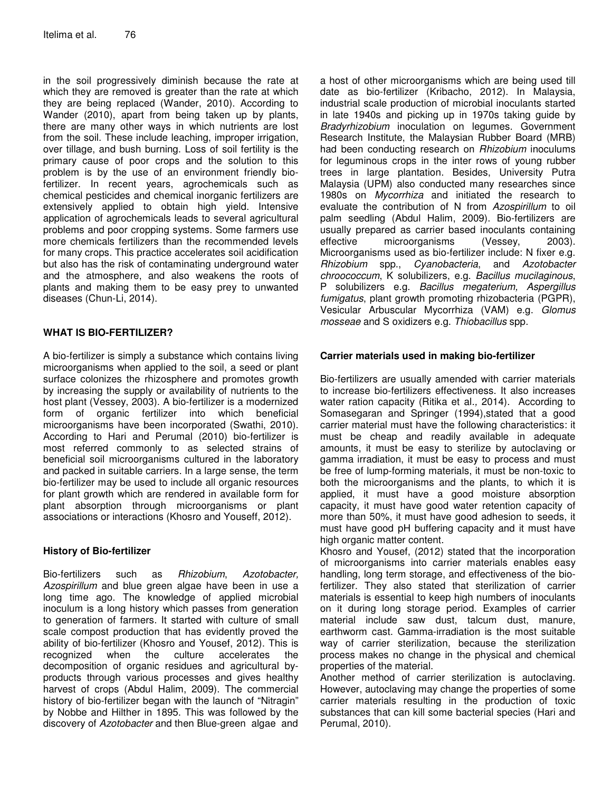in the soil progressively diminish because the rate at which they are removed is greater than the rate at which they are being replaced (Wander, 2010). According to Wander (2010), apart from being taken up by plants, there are many other ways in which nutrients are lost from the soil. These include leaching, improper irrigation, over tillage, and bush burning. Loss of soil fertility is the primary cause of poor crops and the solution to this problem is by the use of an environment friendly biofertilizer. In recent years, agrochemicals such as chemical pesticides and chemical inorganic fertilizers are extensively applied to obtain high yield. Intensive application of agrochemicals leads to several agricultural problems and poor cropping systems. Some farmers use more chemicals fertilizers than the recommended levels for many crops. This practice accelerates soil acidification but also has the risk of contaminating underground water and the atmosphere, and also weakens the roots of plants and making them to be easy prey to unwanted diseases (Chun-Li, 2014).

## **WHAT IS BIO-FERTILIZER?**

A bio-fertilizer is simply a substance which contains living microorganisms when applied to the soil, a seed or plant surface colonizes the rhizosphere and promotes growth by increasing the supply or availability of nutrients to the host plant (Vessey, 2003). A bio-fertilizer is a modernized form of organic fertilizer into which beneficial microorganisms have been incorporated (Swathi, 2010). According to Hari and Perumal (2010) bio-fertilizer is most referred commonly to as selected strains of beneficial soil microorganisms cultured in the laboratory and packed in suitable carriers. In a large sense, the term bio-fertilizer may be used to include all organic resources for plant growth which are rendered in available form for plant absorption through microorganisms or plant associations or interactions (Khosro and Youseff, 2012).

#### **History of Bio-fertilizer**

Bio-fertilizers such as Rhizobium, Azotobacter, Azospirillum and blue green algae have been in use a long time ago. The knowledge of applied microbial inoculum is a long history which passes from generation to generation of farmers. It started with culture of small scale compost production that has evidently proved the ability of bio-fertilizer (Khosro and Yousef, 2012). This is recognized when the culture accelerates the decomposition of organic residues and agricultural byproducts through various processes and gives healthy harvest of crops (Abdul Halim, 2009). The commercial history of bio-fertilizer began with the launch of "Nitragin" by Nobbe and Hilther in 1895. This was followed by the discovery of Azotobacter and then Blue-green algae and

a host of other microorganisms which are being used till date as bio-fertilizer (Kribacho, 2012). In Malaysia, industrial scale production of microbial inoculants started in late 1940s and picking up in 1970s taking guide by Bradyrhizobium inoculation on legumes. Government Research Institute, the Malaysian Rubber Board (MRB) had been conducting research on Rhizobium inoculums for leguminous crops in the inter rows of young rubber trees in large plantation. Besides, University Putra Malaysia (UPM) also conducted many researches since 1980s on Mycorrhiza and initiated the research to evaluate the contribution of N from Azospirillum to oil palm seedling (Abdul Halim, 2009). Bio-fertilizers are usually prepared as carrier based inoculants containing effective microorganisms (Vessey, 2003). Microorganisms used as bio-fertilizer include: N fixer e.g. Rhizobium spp., Cyanobacteria, and Azotobacter chroococcum, K solubilizers, e.g. Bacillus mucilaginous, P solubilizers e.g. Bacillus megaterium, Aspergillus fumigatus, plant growth promoting rhizobacteria (PGPR), Vesicular Arbuscular Mycorrhiza (VAM) e.g. Glomus mosseae and S oxidizers e.g. Thiobacillus spp.

### **Carrier materials used in making bio-fertilizer**

Bio-fertilizers are usually amended with carrier materials to increase bio-fertilizers effectiveness. It also increases water ration capacity (Ritika et al., 2014). According to Somasegaran and Springer (1994),stated that a good carrier material must have the following characteristics: it must be cheap and readily available in adequate amounts, it must be easy to sterilize by autoclaving or gamma irradiation, it must be easy to process and must be free of lump-forming materials, it must be non-toxic to both the microorganisms and the plants, to which it is applied, it must have a good moisture absorption capacity, it must have good water retention capacity of more than 50%, it must have good adhesion to seeds, it must have good pH buffering capacity and it must have high organic matter content.

Khosro and Yousef, (2012) stated that the incorporation of microorganisms into carrier materials enables easy handling, long term storage, and effectiveness of the biofertilizer. They also stated that sterilization of carrier materials is essential to keep high numbers of inoculants on it during long storage period. Examples of carrier material include saw dust, talcum dust, manure, earthworm cast. Gamma-irradiation is the most suitable way of carrier sterilization, because the sterilization process makes no change in the physical and chemical properties of the material.

Another method of carrier sterilization is autoclaving. However, autoclaving may change the properties of some carrier materials resulting in the production of toxic substances that can kill some bacterial species (Hari and Perumal, 2010).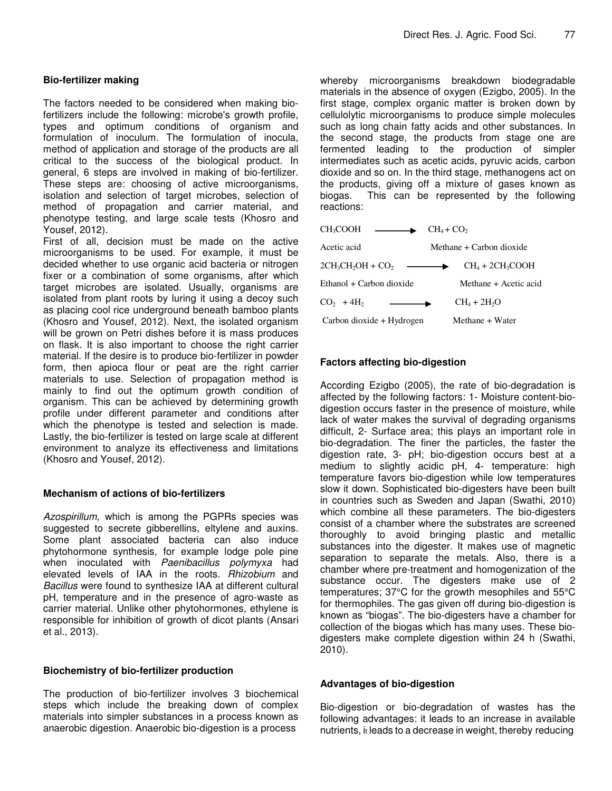#### **Bio-fertilizer making**

The factors needed to be considered when making biofertilizers include the following: microbe's growth profile, types and optimum conditions of organism and formulation of inoculum. The formulation of inocula, method of application and storage of the products are all critical to the success of the biological product. In general, 6 steps are involved in making of bio-fertilizer. These steps are: choosing of active microorganisms, isolation and selection of target microbes, selection of method of propagation and carrier material, and phenotype testing, and large scale tests (Khosro and Yousef, 2012).

First of all, decision must be made on the active microorganisms to be used. For example, it must be decided whether to use organic acid bacteria or nitrogen fixer or a combination of some organisms, after which target microbes are isolated. Usually, organisms are isolated from plant roots by luring it using a decoy such as placing cool rice underground beneath bamboo plants (Khosro and Yousef, 2012). Next, the isolated organism will be grown on Petri dishes before it is mass produces on flask. It is also important to choose the right carrier material. If the desire is to produce bio-fertilizer in powder form, then apioca flour or peat are the right carrier materials to use. Selection of propagation method is mainly to find out the optimum growth condition of organism. This can be achieved by determining growth profile under different parameter and conditions after which the phenotype is tested and selection is made. Lastly, the bio-fertilizer is tested on large scale at different environment to analyze its effectiveness and limitations (Khosro and Yousef, 2012).

#### **Mechanism of actions of bio-fertilizers**

Azospirillum, which is among the PGPRs species was suggested to secrete gibberellins, eltylene and auxins. Some plant associated bacteria can also induce phytohormone synthesis, for example lodge pole pine when inoculated with Paenibacillus polymyxa had elevated levels of IAA in the roots. Rhizobium and Bacillus were found to synthesize IAA at different cultural pH, temperature and in the presence of agro-waste as carrier material. Unlike other phytohormones, ethylene is responsible for inhibition of growth of dicot plants (Ansari et al., 2013).

#### **Biochemistry of bio-fertilizer production**

The production of bio-fertilizer involves 3 biochemical steps which include the breaking down of complex materials into simpler substances in a process known as anaerobic digestion. Anaerobic bio-digestion is a process

whereby microorganisms breakdown biodegradable materials in the absence of oxygen (Ezigbo, 2005). In the first stage, complex organic matter is broken down by cellulolytic microorganisms to produce simple molecules such as long chain fatty acids and other substances. In the second stage, the products from stage one are fermented leading to the production of simpler intermediates such as acetic acids, pyruvic acids, carbon dioxide and so on. In the third stage, methanogens act on the products, giving off a mixture of gases known as biogas. This can be represented by the following reactions:

| CH <sub>3</sub> COOH       | $CH_4 + CO2$             |
|----------------------------|--------------------------|
| Acetic acid                | Methane + Carbon dioxide |
| $2CH_3CH_2OH + CO_2$       | $CH4 + 2CH3COOH$         |
| $Ethanol + Carbon dioxide$ | Methane + Acetic acid    |
| $CO2 + 4H2$                | $CH4 + 2H2O$             |
| Carbon dioxide + Hydrogen  | Methane + Water          |

## **Factors affecting bio-digestion**

According Ezigbo (2005), the rate of bio-degradation is affected by the following factors: 1- Moisture content-biodigestion occurs faster in the presence of moisture, while lack of water makes the survival of degrading organisms difficult, 2- Surface area; this plays an important role in bio-degradation. The finer the particles, the faster the digestion rate, 3- pH; bio-digestion occurs best at a medium to slightly acidic pH, 4- temperature: high temperature favors bio-digestion while low temperatures slow it down. Sophisticated bio-digesters have been built in countries such as Sweden and Japan (Swathi, 2010) which combine all these parameters. The bio-digesters consist of a chamber where the substrates are screened thoroughly to avoid bringing plastic and metallic substances into the digester. It makes use of magnetic separation to separate the metals. Also, there is a chamber where pre-treatment and homogenization of the substance occur. The digesters make use of 2 temperatures; 37°C for the growth mesophiles and 55°C for thermophiles. The gas given off during bio-digestion is known as "biogas". The bio-digesters have a chamber for collection of the biogas which has many uses. These biodigesters make complete digestion within 24 h (Swathi, 2010).

#### **Advantages of bio-digestion**

Bio-digestion or bio-degradation of wastes has the following advantages: it leads to an increase in available nutrients, it leads to a decrease in weight, thereby reducing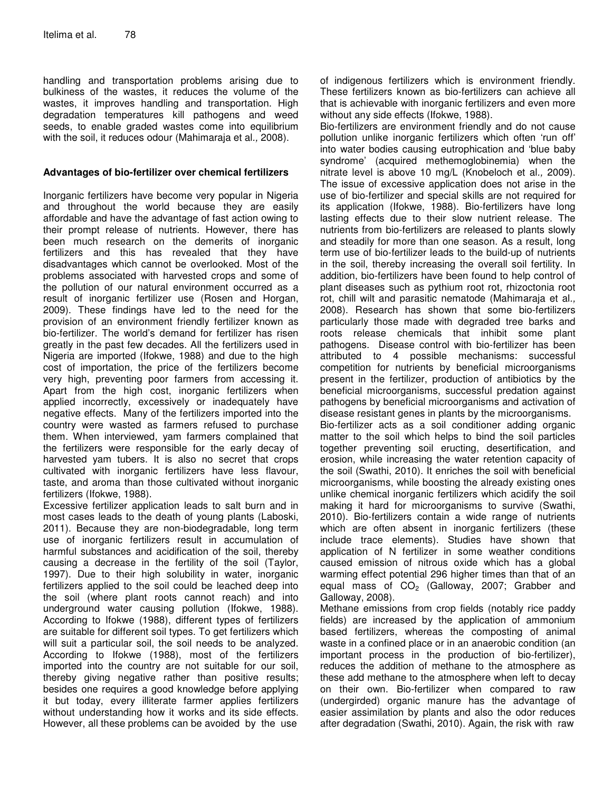handling and transportation problems arising due to bulkiness of the wastes, it reduces the volume of the wastes, it improves handling and transportation. High degradation temperatures kill pathogens and weed seeds, to enable graded wastes come into equilibrium with the soil, it reduces odour (Mahimaraja et al., 2008).

#### **Advantages of bio-fertilizer over chemical fertilizers**

Inorganic fertilizers have become very popular in Nigeria and throughout the world because they are easily affordable and have the advantage of fast action owing to their prompt release of nutrients. However, there has been much research on the demerits of inorganic fertilizers and this has revealed that they have disadvantages which cannot be overlooked. Most of the problems associated with harvested crops and some of the pollution of our natural environment occurred as a result of inorganic fertilizer use (Rosen and Horgan, 2009). These findings have led to the need for the provision of an environment friendly fertilizer known as bio-fertilizer. The world's demand for fertilizer has risen greatly in the past few decades. All the fertilizers used in Nigeria are imported (Ifokwe, 1988) and due to the high cost of importation, the price of the fertilizers become very high, preventing poor farmers from accessing it. Apart from the high cost, inorganic fertilizers when applied incorrectly, excessively or inadequately have negative effects. Many of the fertilizers imported into the country were wasted as farmers refused to purchase them. When interviewed, yam farmers complained that the fertilizers were responsible for the early decay of harvested yam tubers. It is also no secret that crops cultivated with inorganic fertilizers have less flavour, taste, and aroma than those cultivated without inorganic fertilizers (Ifokwe, 1988).

Excessive fertilizer application leads to salt burn and in most cases leads to the death of young plants (Laboski, 2011). Because they are non-biodegradable, long term use of inorganic fertilizers result in accumulation of harmful substances and acidification of the soil, thereby causing a decrease in the fertility of the soil (Taylor, 1997). Due to their high solubility in water, inorganic fertilizers applied to the soil could be leached deep into the soil (where plant roots cannot reach) and into underground water causing pollution (Ifokwe, 1988). According to Ifokwe (1988), different types of fertilizers are suitable for different soil types. To get fertilizers which will suit a particular soil, the soil needs to be analyzed. According to Ifokwe (1988), most of the fertilizers imported into the country are not suitable for our soil, thereby giving negative rather than positive results; besides one requires a good knowledge before applying it but today, every illiterate farmer applies fertilizers without understanding how it works and its side effects. However, all these problems can be avoided by the use

of indigenous fertilizers which is environment friendly. These fertilizers known as bio-fertilizers can achieve all that is achievable with inorganic fertilizers and even more without any side effects (Ifokwe, 1988).

Bio-fertilizers are environment friendly and do not cause pollution unlike inorganic fertilizers which often 'run off' into water bodies causing eutrophication and 'blue baby syndrome' (acquired methemoglobinemia) when the nitrate level is above 10 mg/L (Knobeloch et al., 2009). The issue of excessive application does not arise in the use of bio-fertilizer and special skills are not required for its application (Ifokwe, 1988). Bio-fertilizers have long lasting effects due to their slow nutrient release. The nutrients from bio-fertilizers are released to plants slowly and steadily for more than one season. As a result, long term use of bio-fertilizer leads to the build-up of nutrients in the soil, thereby increasing the overall soil fertility. In addition, bio-fertilizers have been found to help control of plant diseases such as pythium root rot, rhizoctonia root rot, chill wilt and parasitic nematode (Mahimaraja et al., 2008). Research has shown that some bio-fertilizers particularly those made with degraded tree barks and roots release chemicals that inhibit some plant pathogens. Disease control with bio-fertilizer has been attributed to 4 possible mechanisms: successful competition for nutrients by beneficial microorganisms present in the fertilizer, production of antibiotics by the beneficial microorganisms, successful predation against pathogens by beneficial microorganisms and activation of disease resistant genes in plants by the microorganisms. Bio-fertilizer acts as a soil conditioner adding organic matter to the soil which helps to bind the soil particles together preventing soil eructing, desertification, and erosion, while increasing the water retention capacity of

the soil (Swathi, 2010). It enriches the soil with beneficial microorganisms, while boosting the already existing ones unlike chemical inorganic fertilizers which acidify the soil making it hard for microorganisms to survive (Swathi, 2010). Bio-fertilizers contain a wide range of nutrients which are often absent in inorganic fertilizers (these include trace elements). Studies have shown that application of N fertilizer in some weather conditions caused emission of nitrous oxide which has a global warming effect potential 296 higher times than that of an equal mass of  $CO<sub>2</sub>$  (Galloway, 2007; Grabber and Galloway, 2008).

Methane emissions from crop fields (notably rice paddy fields) are increased by the application of ammonium based fertilizers, whereas the composting of animal waste in a confined place or in an anaerobic condition (an important process in the production of bio-fertilizer), reduces the addition of methane to the atmosphere as these add methane to the atmosphere when left to decay on their own. Bio-fertilizer when compared to raw (undergirded) organic manure has the advantage of easier assimilation by plants and also the odor reduces after degradation (Swathi, 2010). Again, the risk with raw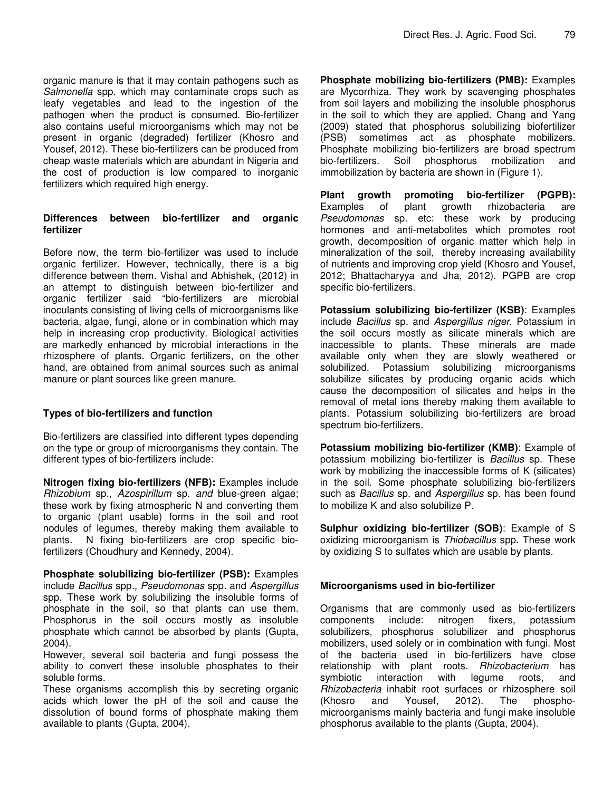organic manure is that it may contain pathogens such as Salmonella spp. which may contaminate crops such as leafy vegetables and lead to the ingestion of the pathogen when the product is consumed. Bio-fertilizer also contains useful microorganisms which may not be present in organic (degraded) fertilizer (Khosro and Yousef, 2012). These bio-fertilizers can be produced from cheap waste materials which are abundant in Nigeria and the cost of production is low compared to inorganic fertilizers which required high energy.

#### **Differences between bio-fertilizer and organic fertilizer**

Before now, the term bio-fertilizer was used to include organic fertilizer. However, technically, there is a big difference between them. Vishal and Abhishek, (2012) in an attempt to distinguish between bio-fertilizer and organic fertilizer said "bio-fertilizers are microbial inoculants consisting of living cells of microorganisms like bacteria, algae, fungi, alone or in combination which may help in increasing crop productivity. Biological activities are markedly enhanced by microbial interactions in the rhizosphere of plants. Organic fertilizers, on the other hand, are obtained from animal sources such as animal manure or plant sources like green manure.

## **Types of bio-fertilizers and function**

Bio-fertilizers are classified into different types depending on the type or group of microorganisms they contain. The different types of bio-fertilizers include:

**Nitrogen fixing bio-fertilizers (NFB):** Examples include Rhizobium sp., Azospirillum sp. and blue-green algae; these work by fixing atmospheric N and converting them to organic (plant usable) forms in the soil and root nodules of legumes, thereby making them available to plants. N fixing bio-fertilizers are crop specific biofertilizers (Choudhury and Kennedy, 2004).

**Phosphate solubilizing bio-fertilizer (PSB):** Examples include Bacillus spp., Pseudomonas spp. and Aspergillus spp. These work by solubilizing the insoluble forms of phosphate in the soil, so that plants can use them. Phosphorus in the soil occurs mostly as insoluble phosphate which cannot be absorbed by plants (Gupta, 2004).

However, several soil bacteria and fungi possess the ability to convert these insoluble phosphates to their soluble forms.

These organisms accomplish this by secreting organic acids which lower the pH of the soil and cause the dissolution of bound forms of phosphate making them available to plants (Gupta, 2004).

**Phosphate mobilizing bio-fertilizers (PMB):** Examples are Mycorrhiza. They work by scavenging phosphates from soil layers and mobilizing the insoluble phosphorus in the soil to which they are applied. Chang and Yang (2009) stated that phosphorus solubilizing biofertilizer (PSB) sometimes act as phosphate mobilizers. Phosphate mobilizing bio-fertilizers are broad spectrum bio-fertilizers. Soil phosphorus mobilization and immobilization by bacteria are shown in (Figure 1).

**Plant growth promoting bio-fertilizer (PGPB):** Examples of plant growth rhizobacteria are Pseudomonas sp. etc: these work by producing hormones and anti-metabolites which promotes root growth, decomposition of organic matter which help in mineralization of the soil, thereby increasing availability of nutrients and improving crop yield (Khosro and Yousef, 2012; Bhattacharyya and Jha, 2012). PGPB are crop specific bio-fertilizers.

**Potassium solubilizing bio-fertilizer (KSB)**: Examples include Bacillus sp. and Aspergillus niger. Potassium in the soil occurs mostly as silicate minerals which are inaccessible to plants. These minerals are made available only when they are slowly weathered or solubilized. Potassium solubilizing microorganisms solubilize silicates by producing organic acids which cause the decomposition of silicates and helps in the removal of metal ions thereby making them available to plants. Potassium solubilizing bio-fertilizers are broad spectrum bio-fertilizers.

**Potassium mobilizing bio-fertilizer (KMB)**: Example of potassium mobilizing bio-fertilizer is Bacillus sp. These work by mobilizing the inaccessible forms of K (silicates) in the soil. Some phosphate solubilizing bio-fertilizers such as Bacillus sp. and Aspergillus sp. has been found to mobilize K and also solubilize P.

**Sulphur oxidizing bio-fertilizer (SOB)**: Example of S oxidizing microorganism is Thiobacillus spp. These work by oxidizing S to sulfates which are usable by plants.

#### **Microorganisms used in bio-fertilizer**

Organisms that are commonly used as bio-fertilizers components include: nitrogen fixers, potassium solubilizers, phosphorus solubilizer and phosphorus mobilizers, used solely or in combination with fungi. Most of the bacteria used in bio-fertilizers have close relationship with plant roots. Rhizobacterium has symbiotic interaction with legume roots, and Rhizobacteria inhabit root surfaces or rhizosphere soil (Khosro and Yousef, 2012). The phosphomicroorganisms mainly bacteria and fungi make insoluble phosphorus available to the plants (Gupta, 2004).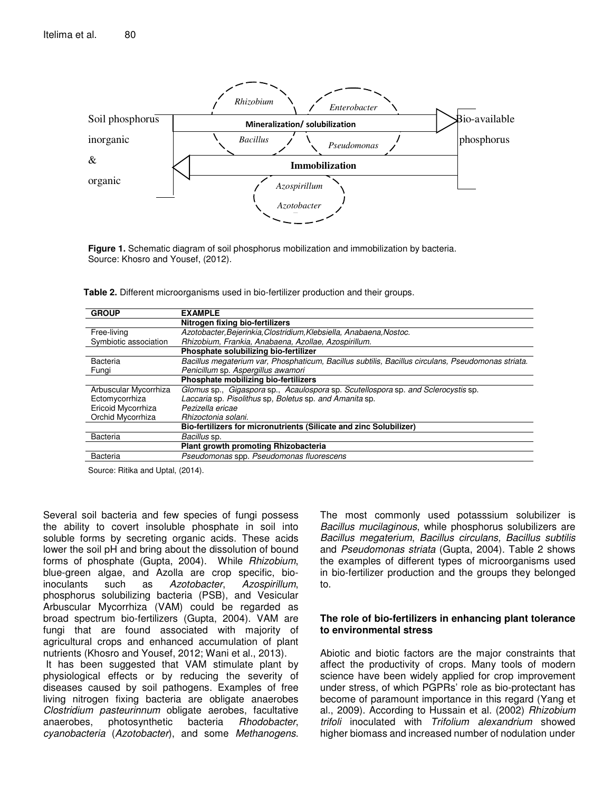

**Figure 1.** Schematic diagram of soil phosphorus mobilization and immobilization by bacteria. Source: Khosro and Yousef, (2012).

**Table 2.** Different microorganisms used in bio-fertilizer production and their groups.

| <b>GROUP</b>          | <b>EXAMPLE</b>                                                                                     |  |
|-----------------------|----------------------------------------------------------------------------------------------------|--|
|                       | Nitrogen fixing bio-fertilizers                                                                    |  |
| Free-living           | Azotobacter, Bejerinkia, Clostridium, Klebsiella, Anabaena, Nostoc.                                |  |
| Symbiotic association | Rhizobium, Frankia, Anabaena, Azollae, Azospirillum.                                               |  |
|                       | Phosphate solubilizing bio-fertilizer                                                              |  |
| <b>Bacteria</b>       | Bacillus megaterium var, Phosphaticum, Bacillus subtilis, Bacillus circulans, Pseudomonas striata. |  |
| Fungi                 | Penicillum sp. Aspergillus awamori                                                                 |  |
|                       | Phosphate mobilizing bio-fertilizers                                                               |  |
| Arbuscular Mycorrhiza | Glomus sp., Gigaspora sp., Acaulospora sp. Scutellospora sp. and Sclerocystis sp.                  |  |
| Ectomycorrhiza        | Laccaria sp. Pisolithus sp. Boletus sp. and Amanita sp.                                            |  |
| Ericoid Mycorrhiza    | Pezizella ericae                                                                                   |  |
| Orchid Mycorrhiza     | Rhizoctonia solani.                                                                                |  |
|                       | Bio-fertilizers for micronutrients (Silicate and zinc Solubilizer)                                 |  |
| <b>Bacteria</b>       | Bacillus sp.                                                                                       |  |
|                       | Plant growth promoting Rhizobacteria                                                               |  |
| <b>Bacteria</b>       | Pseudomonas spp. Pseudomonas fluorescens                                                           |  |

Source: Ritika and Uptal, (2014).

Several soil bacteria and few species of fungi possess the ability to covert insoluble phosphate in soil into soluble forms by secreting organic acids. These acids lower the soil pH and bring about the dissolution of bound forms of phosphate (Gupta, 2004). While Rhizobium, blue-green algae, and Azolla are crop specific, bioinoculants such as Azotobacter, Azospirillum, phosphorus solubilizing bacteria (PSB), and Vesicular Arbuscular Mycorrhiza (VAM) could be regarded as broad spectrum bio-fertilizers (Gupta, 2004). VAM are fungi that are found associated with majority of agricultural crops and enhanced accumulation of plant nutrients (Khosro and Yousef, 2012; Wani et al., 2013). It has been suggested that VAM stimulate plant by physiological effects or by reducing the severity of diseases caused by soil pathogens. Examples of free living nitrogen fixing bacteria are obligate anaerobes

Clostridium pasteurinnum obligate aerobes, facultative anaerobes, photosynthetic bacteria Rhodobacter, cyanobacteria (Azotobacter), and some Methanogens.

The most commonly used potasssium solubilizer is Bacillus mucilaginous, while phosphorus solubilizers are Bacillus megaterium, Bacillus circulans, Bacillus subtilis and Pseudomonas striata (Gupta, 2004). Table 2 shows the examples of different types of microorganisms used in bio-fertilizer production and the groups they belonged to.

#### **The role of bio-fertilizers in enhancing plant tolerance to environmental stress**

Abiotic and biotic factors are the major constraints that affect the productivity of crops. Many tools of modern science have been widely applied for crop improvement under stress, of which PGPRs' role as bio-protectant has become of paramount importance in this regard (Yang et al., 2009). According to Hussain et al. (2002) Rhizobium trifoli inoculated with Trifolium alexandrium showed higher biomass and increased number of nodulation under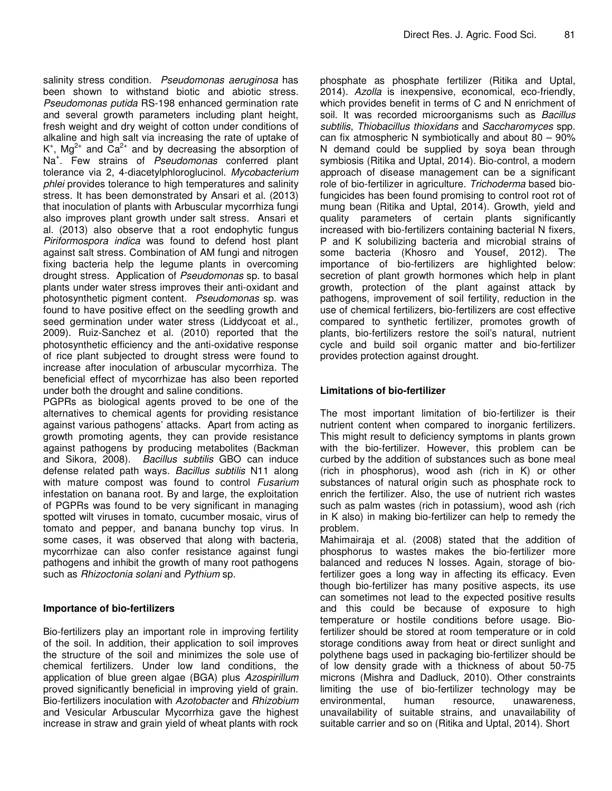salinity stress condition. Pseudomonas aeruginosa has been shown to withstand biotic and abiotic stress. Pseudomonas putida RS-198 enhanced germination rate and several growth parameters including plant height, fresh weight and dry weight of cotton under conditions of alkaline and high salt via increasing the rate of uptake of  $K^+$ , Mg<sup>2+</sup> and Ca<sup>2+</sup> and by decreasing the absorption of Na<sup>+</sup>. Few strains of Pseudomonas conferred plant tolerance via 2, 4-diacetylphloroglucinol. Mycobacterium phlei provides tolerance to high temperatures and salinity stress. It has been demonstrated by Ansari et al. (2013) that inoculation of plants with Arbuscular mycorrhiza fungi also improves plant growth under salt stress. Ansari et al. (2013) also observe that a root endophytic fungus Piriformospora indica was found to defend host plant against salt stress. Combination of AM fungi and nitrogen fixing bacteria help the legume plants in overcoming drought stress. Application of Pseudomonas sp. to basal plants under water stress improves their anti-oxidant and photosynthetic pigment content. Pseudomonas sp. was found to have positive effect on the seedling growth and seed germination under water stress (Liddycoat et al., 2009). Ruiz-Sanchez et al. (2010) reported that the photosynthetic efficiency and the anti-oxidative response of rice plant subjected to drought stress were found to increase after inoculation of arbuscular mycorrhiza. The beneficial effect of mycorrhizae has also been reported under both the drought and saline conditions.

PGPRs as biological agents proved to be one of the alternatives to chemical agents for providing resistance against various pathogens' attacks. Apart from acting as growth promoting agents, they can provide resistance against pathogens by producing metabolites (Backman and Sikora, 2008). Bacillus subtilis GBO can induce defense related path ways. Bacillus subtilis N11 along with mature compost was found to control Fusarium infestation on banana root. By and large, the exploitation of PGPRs was found to be very significant in managing spotted wilt viruses in tomato, cucumber mosaic, virus of tomato and pepper, and banana bunchy top virus. In some cases, it was observed that along with bacteria, mycorrhizae can also confer resistance against fungi pathogens and inhibit the growth of many root pathogens such as Rhizoctonia solani and Pythium sp.

#### **Importance of bio-fertilizers**

Bio-fertilizers play an important role in improving fertility of the soil. In addition, their application to soil improves the structure of the soil and minimizes the sole use of chemical fertilizers. Under low land conditions, the application of blue green algae (BGA) plus Azospirillum proved significantly beneficial in improving yield of grain. Bio-fertilizers inoculation with Azotobacter and Rhizobium and Vesicular Arbuscular Mycorrhiza gave the highest increase in straw and grain yield of wheat plants with rock

phosphate as phosphate fertilizer (Ritika and Uptal, 2014). Azolla is inexpensive, economical, eco-friendly, which provides benefit in terms of C and N enrichment of soil. It was recorded microorganisms such as Bacillus subtilis, Thiobacillus thioxidans and Saccharomyces spp. can fix atmospheric N symbiotically and about 80 – 90% N demand could be supplied by soya bean through symbiosis (Ritika and Uptal, 2014). Bio-control, a modern approach of disease management can be a significant role of bio-fertilizer in agriculture. Trichoderma based biofungicides has been found promising to control root rot of mung bean (Ritika and Uptal, 2014). Growth, yield and quality parameters of certain plants significantly increased with bio-fertilizers containing bacterial N fixers, P and K solubilizing bacteria and microbial strains of some bacteria (Khosro and Yousef, 2012). The importance of bio-fertilizers are highlighted below: secretion of plant growth hormones which help in plant growth, protection of the plant against attack by pathogens, improvement of soil fertility, reduction in the use of chemical fertilizers, bio-fertilizers are cost effective compared to synthetic fertilizer, promotes growth of plants, bio-fertilizers restore the soil's natural, nutrient cycle and build soil organic matter and bio-fertilizer provides protection against drought.

#### **Limitations of bio-fertilizer**

The most important limitation of bio-fertilizer is their nutrient content when compared to inorganic fertilizers. This might result to deficiency symptoms in plants grown with the bio-fertilizer. However, this problem can be curbed by the addition of substances such as bone meal (rich in phosphorus), wood ash (rich in K) or other substances of natural origin such as phosphate rock to enrich the fertilizer. Also, the use of nutrient rich wastes such as palm wastes (rich in potassium), wood ash (rich in K also) in making bio-fertilizer can help to remedy the problem.

Mahimairaja et al. (2008) stated that the addition of phosphorus to wastes makes the bio-fertilizer more balanced and reduces N losses. Again, storage of biofertilizer goes a long way in affecting its efficacy. Even though bio-fertilizer has many positive aspects, its use can sometimes not lead to the expected positive results and this could be because of exposure to high temperature or hostile conditions before usage. Biofertilizer should be stored at room temperature or in cold storage conditions away from heat or direct sunlight and polythene bags used in packaging bio-fertilizer should be of low density grade with a thickness of about 50-75 microns (Mishra and Dadluck, 2010). Other constraints limiting the use of bio-fertilizer technology may be environmental, human resource, unawareness, unavailability of suitable strains, and unavailability of suitable carrier and so on (Ritika and Uptal, 2014). Short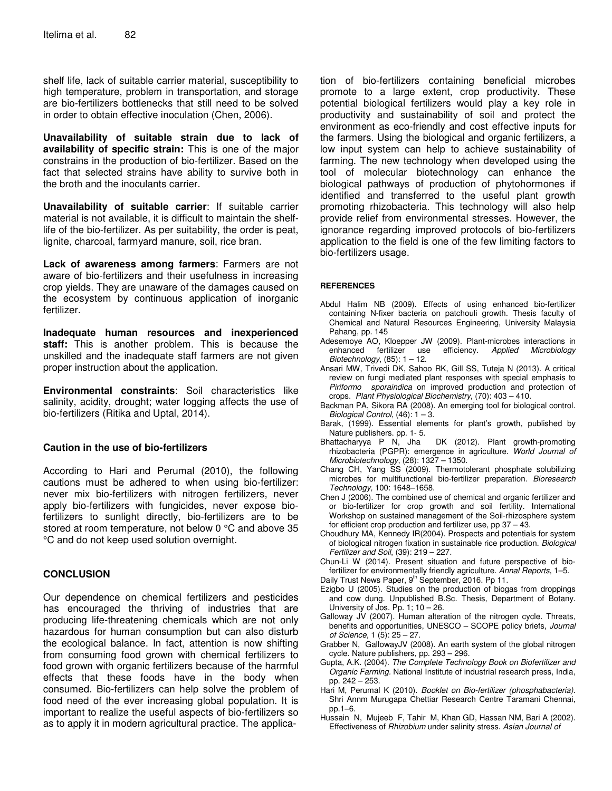shelf life, lack of suitable carrier material, susceptibility to high temperature, problem in transportation, and storage are bio-fertilizers bottlenecks that still need to be solved in order to obtain effective inoculation (Chen, 2006).

**Unavailability of suitable strain due to lack of availability of specific strain:** This is one of the major constrains in the production of bio-fertilizer. Based on the fact that selected strains have ability to survive both in the broth and the inoculants carrier.

**Unavailability of suitable carrier**: If suitable carrier material is not available, it is difficult to maintain the shelflife of the bio-fertilizer. As per suitability, the order is peat, lignite, charcoal, farmyard manure, soil, rice bran.

**Lack of awareness among farmers**: Farmers are not aware of bio-fertilizers and their usefulness in increasing crop yields. They are unaware of the damages caused on the ecosystem by continuous application of inorganic fertilizer.

**Inadequate human resources and inexperienced staff:** This is another problem. This is because the unskilled and the inadequate staff farmers are not given proper instruction about the application.

**Environmental constraints**: Soil characteristics like salinity, acidity, drought; water logging affects the use of bio-fertilizers (Ritika and Uptal, 2014).

#### **Caution in the use of bio-fertilizers**

According to Hari and Perumal (2010), the following cautions must be adhered to when using bio-fertilizer: never mix bio-fertilizers with nitrogen fertilizers, never apply bio-fertilizers with fungicides, never expose biofertilizers to sunlight directly, bio-fertilizers are to be stored at room temperature, not below 0 °C and above 35 °C and do not keep used solution overnight.

#### **CONCLUSION**

Our dependence on chemical fertilizers and pesticides has encouraged the thriving of industries that are producing life-threatening chemicals which are not only hazardous for human consumption but can also disturb the ecological balance. In fact, attention is now shifting from consuming food grown with chemical fertilizers to food grown with organic fertilizers because of the harmful effects that these foods have in the body when consumed. Bio-fertilizers can help solve the problem of food need of the ever increasing global population. It is important to realize the useful aspects of bio-fertilizers so as to apply it in modern agricultural practice. The applica-

tion of bio-fertilizers containing beneficial microbes promote to a large extent, crop productivity. These potential biological fertilizers would play a key role in productivity and sustainability of soil and protect the environment as eco-friendly and cost effective inputs for the farmers. Using the biological and organic fertilizers, a low input system can help to achieve sustainability of farming. The new technology when developed using the tool of molecular biotechnology can enhance the biological pathways of production of phytohormones if identified and transferred to the useful plant growth promoting rhizobacteria. This technology will also help provide relief from environmental stresses. However, the ignorance regarding improved protocols of bio-fertilizers application to the field is one of the few limiting factors to bio-fertilizers usage.

#### **REFERENCES**

- Abdul Halim NB (2009). Effects of using enhanced bio-fertilizer containing N-fixer bacteria on patchouli growth. Thesis faculty of Chemical and Natural Resources Engineering, University Malaysia Pahang, pp. 145
- Adesemoye AO, Kloepper JW (2009). Plant-microbes interactions in enhanced fertilizer use efficiency. Applied Microbiology fertilizer use Biotechnology,  $(85): 1 - 12$ .
- Ansari MW, Trivedi DK, Sahoo RK, Gill SS, Tuteja N (2013). A critical review on fungi mediated plant responses with special emphasis to Piriformo sporaindica on improved production and protection of crops. Plant Physiological Biochemistry, (70): 403 – 410.
- Backman PA, Sikora RA (2008). An emerging tool for biological control. Biological Control,  $(46)$ :  $1 - 3$ .
- Barak, (1999). Essential elements for plant's growth, published by Nature publishers. pp. 1- 5.
- Bhattacharyya P N, Jha DK (2012). Plant growth-promoting rhizobacteria (PGPR): emergence in agriculture. World Journal of Microbiotechnology, (28): 1327 – 1350.
- Chang CH, Yang SS (2009). Thermotolerant phosphate solubilizing microbes for multifunctional bio-fertilizer preparation. Bioresearch Technology, 100: 1648–1658.
- Chen J (2006). The combined use of chemical and organic fertilizer and or bio-fertilizer for crop growth and soil fertility. International Workshop on sustained management of the Soil-rhizosphere system for efficient crop production and fertilizer use, pp 37 – 43.
- Choudhury MA, Kennedy IR(2004). Prospects and potentials for system of biological nitrogen fixation in sustainable rice production. Biological Fertilizer and Soil, (39): 219 – 227.
- Chun-Li W (2014). Present situation and future perspective of biofertilizer for environmentally friendly agriculture. Annal Reports, 1–5. Daily Trust News Paper, 9<sup>th</sup> September, 2016. Pp 11.
- Ezigbo U (2005). Studies on the production of biogas from droppings and cow dung. Unpublished B.Sc. Thesis, Department of Botany. University of Jos. Pp. 1; 10 – 26.
- Galloway JV (2007). Human alteration of the nitrogen cycle. Threats, benefits and opportunities, UNESCO – SCOPE policy briefs, Journal of Science, 1 (5): 25 – 27.
- Grabber N, GallowayJV (2008). An earth system of the global nitrogen cycle. Nature publishers, pp. 293 – 296.
- Gupta, A.K. (2004). The Complete Technology Book on Biofertilizer and Organic Farming. National Institute of industrial research press, India, pp. 242 – 253.
- Hari M, Perumal K (2010). Booklet on Bio-fertilizer (phosphabacteria). Shri Annm Murugapa Chettiar Research Centre Taramani Chennai, pp.1–6.
- Hussain N, Mujeeb F, Tahir M, Khan GD, Hassan NM, Bari A (2002). Effectiveness of Rhizobium under salinity stress. Asian Journal of